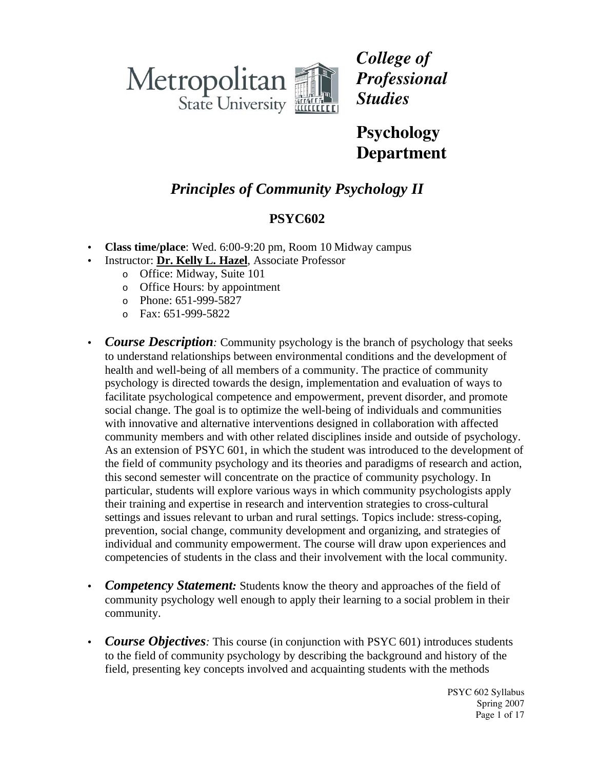

*College of Professional Studies*

**Psychology Department**

# *Principles of Community Psychology II*

## **PSYC602**

- **Class time/place**: Wed. 6:00-9:20 pm, Room 10 Midway campus
- Instructor: **Dr. Kelly L. Hazel**, Associate Professor
	- o Office: Midway, Suite 101
	- o Office Hours: by appointment
	- o Phone: 651-999-5827
	- o Fax: 651-999-5822
- *Course Description:* Community psychology is the branch of psychology that seeks to understand relationships between environmental conditions and the development of health and well-being of all members of a community. The practice of community psychology is directed towards the design, implementation and evaluation of ways to facilitate psychological competence and empowerment, prevent disorder, and promote social change. The goal is to optimize the well-being of individuals and communities with innovative and alternative interventions designed in collaboration with affected community members and with other related disciplines inside and outside of psychology. As an extension of PSYC 601, in which the student was introduced to the development of the field of community psychology and its theories and paradigms of research and action, this second semester will concentrate on the practice of community psychology. In particular, students will explore various ways in which community psychologists apply their training and expertise in research and intervention strategies to cross-cultural settings and issues relevant to urban and rural settings. Topics include: stress-coping, prevention, social change, community development and organizing, and strategies of individual and community empowerment. The course will draw upon experiences and competencies of students in the class and their involvement with the local community.
- *Competency Statement:* Students know the theory and approaches of the field of community psychology well enough to apply their learning to a social problem in their community.
- *Course Objectives*: This course (in conjunction with PSYC 601) introduces students to the field of community psychology by describing the background and history of the field, presenting key concepts involved and acquainting students with the methods

PSYC 602 Syllabus Spring 2007 Page 1 of 17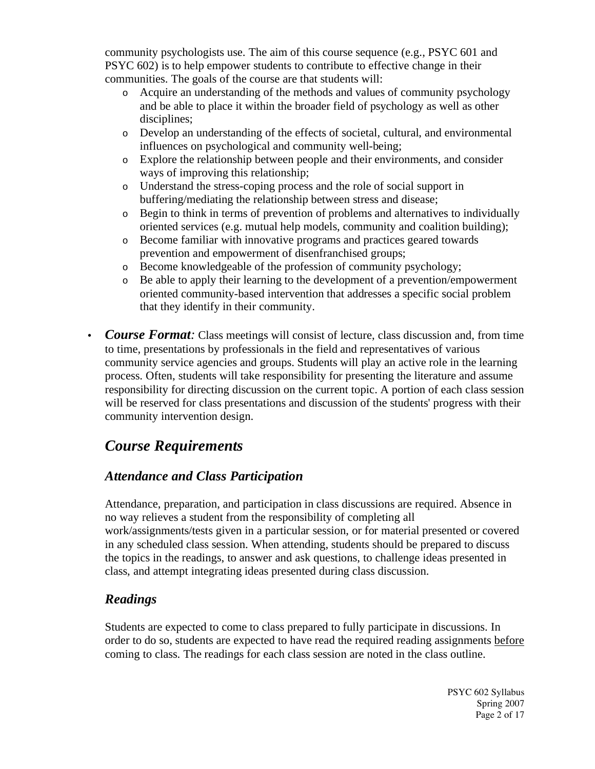community psychologists use. The aim of this course sequence (e.g., PSYC 601 and PSYC 602) is to help empower students to contribute to effective change in their communities. The goals of the course are that students will:

- o Acquire an understanding of the methods and values of community psychology and be able to place it within the broader field of psychology as well as other disciplines:
- o Develop an understanding of the effects of societal, cultural, and environmental influences on psychological and community well-being;
- o Explore the relationship between people and their environments, and consider ways of improving this relationship;
- o Understand the stress-coping process and the role of social support in buffering/mediating the relationship between stress and disease;
- o Begin to think in terms of prevention of problems and alternatives to individually oriented services (e.g. mutual help models, community and coalition building);
- o Become familiar with innovative programs and practices geared towards prevention and empowerment of disenfranchised groups;
- o Become knowledgeable of the profession of community psychology;
- o Be able to apply their learning to the development of a prevention/empowerment oriented community-based intervention that addresses a specific social problem that they identify in their community.
- *Course Format:* Class meetings will consist of lecture, class discussion and, from time to time, presentations by professionals in the field and representatives of various community service agencies and groups. Students will play an active role in the learning process. Often, students will take responsibility for presenting the literature and assume responsibility for directing discussion on the current topic. A portion of each class session will be reserved for class presentations and discussion of the students' progress with their community intervention design.

# *Course Requirements*

## *Attendance and Class Participation*

Attendance, preparation, and participation in class discussions are required. Absence in no way relieves a student from the responsibility of completing all work/assignments/tests given in a particular session, or for material presented or covered in any scheduled class session. When attending, students should be prepared to discuss the topics in the readings, to answer and ask questions, to challenge ideas presented in class, and attempt integrating ideas presented during class discussion.

### *Readings*

Students are expected to come to class prepared to fully participate in discussions. In order to do so, students are expected to have read the required reading assignments before coming to class. The readings for each class session are noted in the class outline.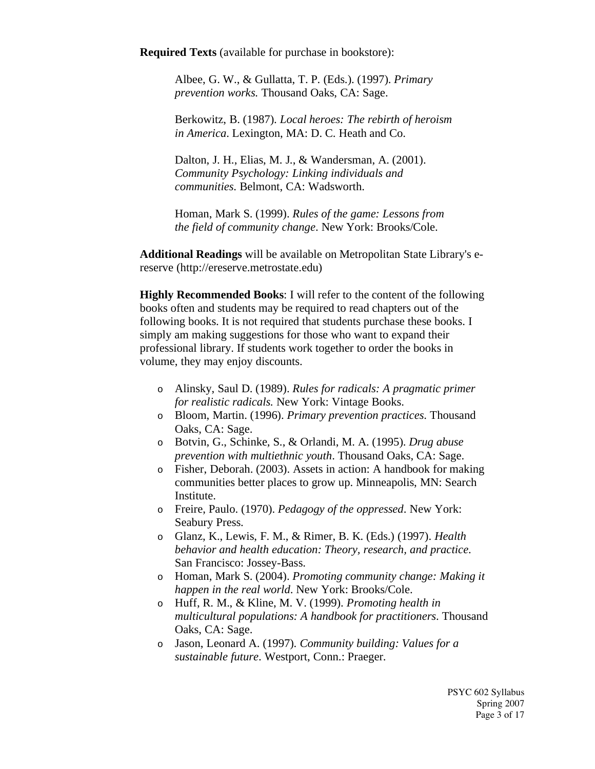**Required Texts** (available for purchase in bookstore):

Albee, G. W., & Gullatta, T. P. (Eds.). (1997). *Primary prevention works.* Thousand Oaks, CA: Sage.

Berkowitz, B. (1987). *Local heroes: The rebirth of heroism in America*. Lexington, MA: D. C. Heath and Co.

Dalton, J. H., Elias, M. J., & Wandersman, A. (2001). *Community Psychology: Linking individuals and communities*. Belmont, CA: Wadsworth.

Homan, Mark S. (1999). *Rules of the game: Lessons from the field of community change*. New York: Brooks/Cole.

**Additional Readings** will be available on Metropolitan State Library's ereserve (http://ereserve.metrostate.edu)

**Highly Recommended Books**: I will refer to the content of the following books often and students may be required to read chapters out of the following books. It is not required that students purchase these books. I simply am making suggestions for those who want to expand their professional library. If students work together to order the books in volume, they may enjoy discounts.

- o Alinsky, Saul D. (1989). *Rules for radicals: A pragmatic primer for realistic radicals.* New York: Vintage Books.
- o Bloom, Martin. (1996). *Primary prevention practices*. Thousand Oaks, CA: Sage.
- o Botvin, G., Schinke, S., & Orlandi, M. A. (1995). *Drug abuse prevention with multiethnic youth*. Thousand Oaks, CA: Sage.
- o Fisher, Deborah. (2003). Assets in action: A handbook for making communities better places to grow up. Minneapolis, MN: Search Institute.
- o Freire, Paulo. (1970). *Pedagogy of the oppressed*. New York: Seabury Press.
- o Glanz, K., Lewis, F. M., & Rimer, B. K. (Eds.) (1997). *Health behavior and health education: Theory, research, and practice*. San Francisco: Jossey-Bass.
- o Homan, Mark S. (2004). *Promoting community change: Making it happen in the real world*. New York: Brooks/Cole.
- o Huff, R. M., & Kline, M. V. (1999). *Promoting health in multicultural populations: A handbook for practitioners*. Thousand Oaks, CA: Sage.
- o Jason, Leonard A. (1997). *Community building: Values for a sustainable future*. Westport, Conn.: Praeger.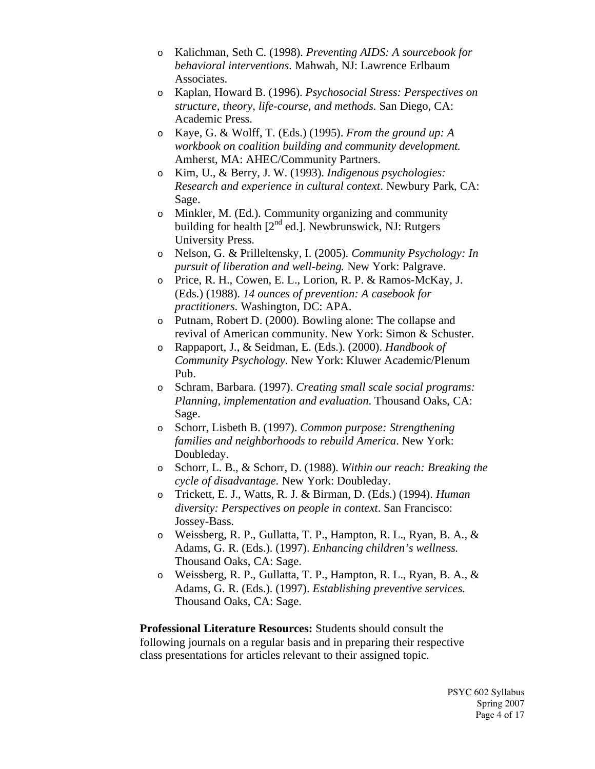- o Kalichman, Seth C. (1998). *Preventing AIDS: A sourcebook for behavioral interventions*. Mahwah, NJ: Lawrence Erlbaum Associates.
- o Kaplan, Howard B. (1996). *Psychosocial Stress: Perspectives on structure, theory, life-course, and methods*. San Diego, CA: Academic Press.
- o Kaye, G. & Wolff, T. (Eds.) (1995). *From the ground up: A workbook on coalition building and community development.* Amherst, MA: AHEC/Community Partners.
- o Kim, U., & Berry, J. W. (1993). *Indigenous psychologies: Research and experience in cultural context*. Newbury Park, CA: Sage.
- o Minkler, M. (Ed.). Community organizing and community building for health  $[2^{nd}$  ed.]. Newbrunswick, NJ: Rutgers University Press.
- o Nelson, G. & Prilleltensky, I. (2005). *Community Psychology: In pursuit of liberation and well-being.* New York: Palgrave.
- o Price, R. H., Cowen, E. L., Lorion, R. P. & Ramos-McKay, J. (Eds.) (1988). *14 ounces of prevention: A casebook for practitioners*. Washington, DC: APA.
- o Putnam, Robert D. (2000). Bowling alone: The collapse and revival of American community. New York: Simon & Schuster.
- o Rappaport, J., & Seidman, E. (Eds.). (2000). *Handbook of Community Psychology*. New York: Kluwer Academic/Plenum Pub.
- o Schram, Barbara. (1997). *Creating small scale social programs: Planning, implementation and evaluation*. Thousand Oaks, CA: Sage.
- o Schorr, Lisbeth B. (1997). *Common purpose: Strengthening families and neighborhoods to rebuild America*. New York: Doubleday.
- o Schorr, L. B., & Schorr, D. (1988). *Within our reach: Breaking the cycle of disadvantage*. New York: Doubleday.
- o Trickett, E. J., Watts, R. J. & Birman, D. (Eds.) (1994). *Human diversity: Perspectives on people in context*. San Francisco: Jossey-Bass.
- o Weissberg, R. P., Gullatta, T. P., Hampton, R. L., Ryan, B. A., & Adams, G. R. (Eds.). (1997). *Enhancing children's wellness.* Thousand Oaks, CA: Sage.
- o Weissberg, R. P., Gullatta, T. P., Hampton, R. L., Ryan, B. A., & Adams, G. R. (Eds.). (1997). *Establishing preventive services.* Thousand Oaks, CA: Sage.

**Professional Literature Resources:** Students should consult the following journals on a regular basis and in preparing their respective class presentations for articles relevant to their assigned topic.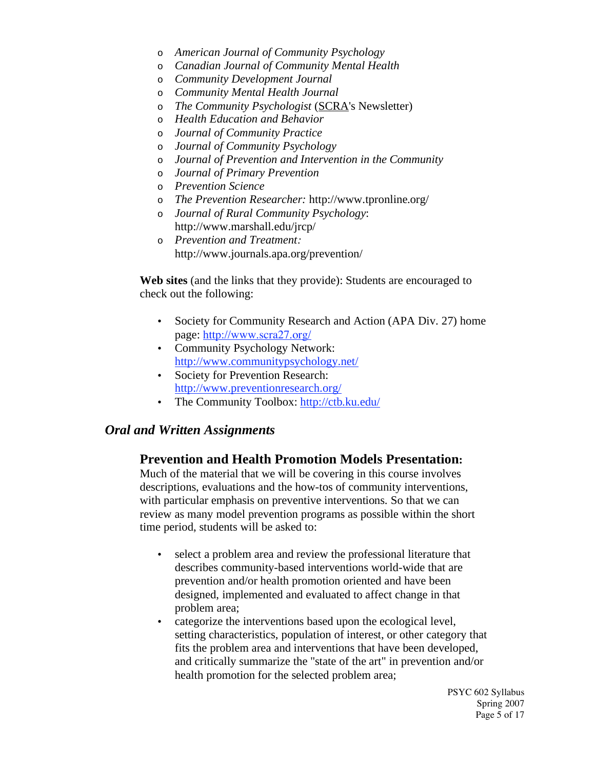- o *American Journal of Community Psychology*
- o *Canadian Journal of Community Mental Health*
- o *Community Development Journal*
- o *Community Mental Health Journal*
- o *The Community Psychologist* (SCRA's Newsletter)
- o *Health Education and Behavior*
- o *Journal of Community Practice*
- o *Journal of Community Psychology*
- o *Journal of Prevention and Intervention in the Community*
- o *Journal of Primary Prevention*
- o *Prevention Science*
- o *The Prevention Researcher:* http://www.tpronline.org/
- o *Journal of Rural Community Psychology*: http://www.marshall.edu/jrcp/
- o *Prevention and Treatment:* http://www.journals.apa.org/prevention/

**Web sites** (and the links that they provide): Students are encouraged to check out the following:

- Society for Community Research and Action (APA Div. 27) home page: http://www.scra27.org/
- Community Psychology Network: http://www.communitypsychology.net/
- Society for Prevention Research: http://www.preventionresearch.org/
- The Community Toolbox: http://ctb.ku.edu/

#### *Oral and Written Assignments*

#### **Prevention and Health Promotion Models Presentation:**

Much of the material that we will be covering in this course involves descriptions, evaluations and the how-tos of community interventions, with particular emphasis on preventive interventions. So that we can review as many model prevention programs as possible within the short time period, students will be asked to:

- select a problem area and review the professional literature that describes community-based interventions world-wide that are prevention and/or health promotion oriented and have been designed, implemented and evaluated to affect change in that problem area;
- categorize the interventions based upon the ecological level, setting characteristics, population of interest, or other category that fits the problem area and interventions that have been developed, and critically summarize the "state of the art" in prevention and/or health promotion for the selected problem area;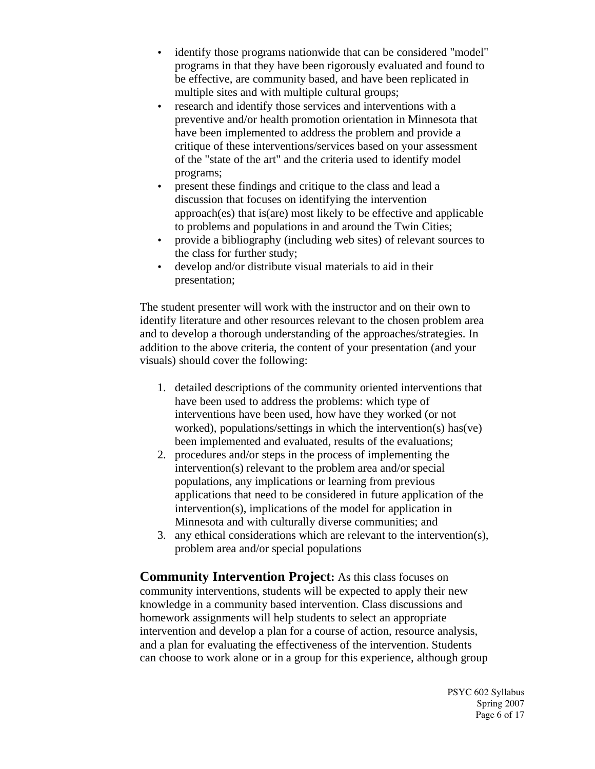- identify those programs nationwide that can be considered "model" programs in that they have been rigorously evaluated and found to be effective, are community based, and have been replicated in multiple sites and with multiple cultural groups;
- research and identify those services and interventions with a preventive and/or health promotion orientation in Minnesota that have been implemented to address the problem and provide a critique of these interventions/services based on your assessment of the "state of the art" and the criteria used to identify model programs;
- present these findings and critique to the class and lead a discussion that focuses on identifying the intervention approach(es) that is(are) most likely to be effective and applicable to problems and populations in and around the Twin Cities;
- provide a bibliography (including web sites) of relevant sources to the class for further study;
- develop and/or distribute visual materials to aid in their presentation;

The student presenter will work with the instructor and on their own to identify literature and other resources relevant to the chosen problem area and to develop a thorough understanding of the approaches/strategies. In addition to the above criteria, the content of your presentation (and your visuals) should cover the following:

- 1. detailed descriptions of the community oriented interventions that have been used to address the problems: which type of interventions have been used, how have they worked (or not worked), populations/settings in which the intervention(s) has(ve) been implemented and evaluated, results of the evaluations;
- 2. procedures and/or steps in the process of implementing the intervention(s) relevant to the problem area and/or special populations, any implications or learning from previous applications that need to be considered in future application of the intervention(s), implications of the model for application in Minnesota and with culturally diverse communities; and
- 3. any ethical considerations which are relevant to the intervention(s), problem area and/or special populations

**Community Intervention Project:** As this class focuses on community interventions, students will be expected to apply their new knowledge in a community based intervention. Class discussions and homework assignments will help students to select an appropriate intervention and develop a plan for a course of action, resource analysis, and a plan for evaluating the effectiveness of the intervention. Students can choose to work alone or in a group for this experience, although group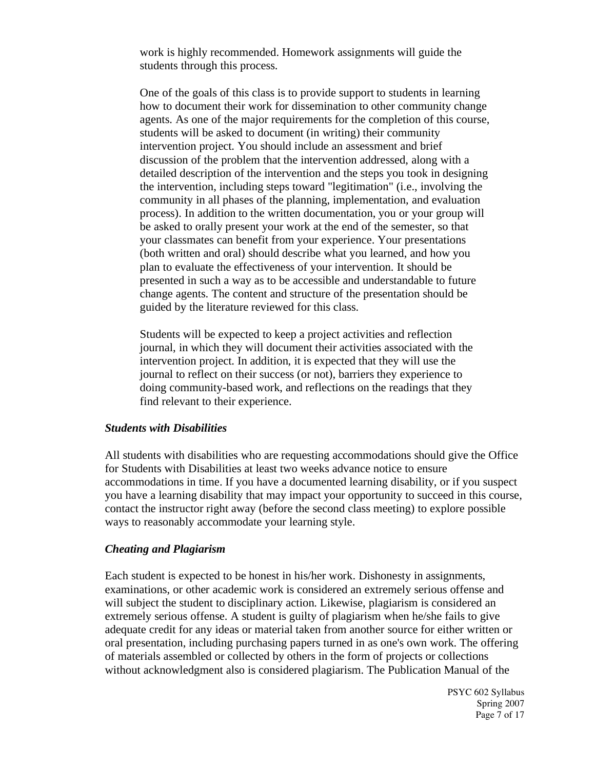work is highly recommended. Homework assignments will guide the students through this process.

One of the goals of this class is to provide support to students in learning how to document their work for dissemination to other community change agents. As one of the major requirements for the completion of this course, students will be asked to document (in writing) their community intervention project. You should include an assessment and brief discussion of the problem that the intervention addressed, along with a detailed description of the intervention and the steps you took in designing the intervention, including steps toward "legitimation" (i.e., involving the community in all phases of the planning, implementation, and evaluation process). In addition to the written documentation, you or your group will be asked to orally present your work at the end of the semester, so that your classmates can benefit from your experience. Your presentations (both written and oral) should describe what you learned, and how you plan to evaluate the effectiveness of your intervention. It should be presented in such a way as to be accessible and understandable to future change agents. The content and structure of the presentation should be guided by the literature reviewed for this class.

Students will be expected to keep a project activities and reflection journal, in which they will document their activities associated with the intervention project. In addition, it is expected that they will use the journal to reflect on their success (or not), barriers they experience to doing community-based work, and reflections on the readings that they find relevant to their experience.

#### *Students with Disabilities*

All students with disabilities who are requesting accommodations should give the Office for Students with Disabilities at least two weeks advance notice to ensure accommodations in time. If you have a documented learning disability, or if you suspect you have a learning disability that may impact your opportunity to succeed in this course, contact the instructor right away (before the second class meeting) to explore possible ways to reasonably accommodate your learning style.

#### *Cheating and Plagiarism*

Each student is expected to be honest in his/her work. Dishonesty in assignments, examinations, or other academic work is considered an extremely serious offense and will subject the student to disciplinary action. Likewise, plagiarism is considered an extremely serious offense. A student is guilty of plagiarism when he/she fails to give adequate credit for any ideas or material taken from another source for either written or oral presentation, including purchasing papers turned in as one's own work. The offering of materials assembled or collected by others in the form of projects or collections without acknowledgment also is considered plagiarism. The Publication Manual of the

> PSYC 602 Syllabus Spring 2007 Page 7 of 17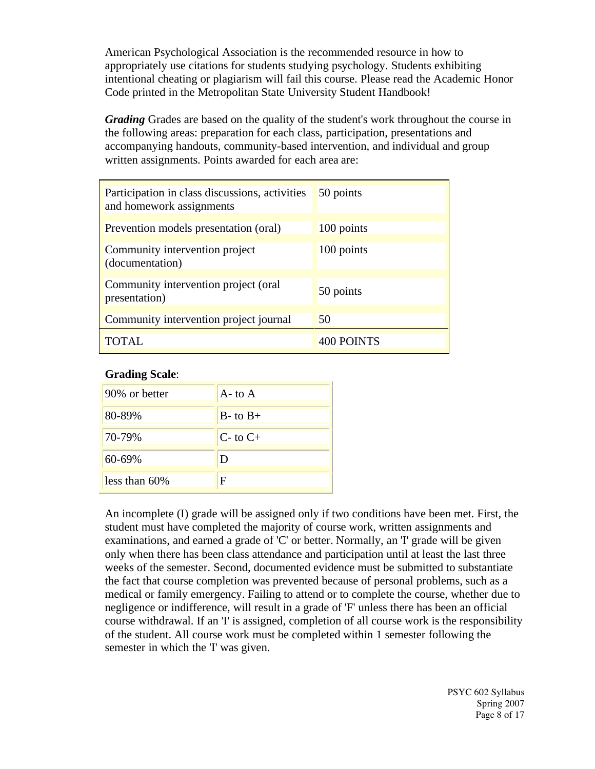American Psychological Association is the recommended resource in how to appropriately use citations for students studying psychology. Students exhibiting intentional cheating or plagiarism will fail this course. Please read the Academic Honor Code printed in the Metropolitan State University Student Handbook!

*Grading* Grades are based on the quality of the student's work throughout the course in the following areas: preparation for each class, participation, presentations and accompanying handouts, community-based intervention, and individual and group written assignments. Points awarded for each area are:

| Participation in class discussions, activities<br>and homework assignments | 50 points  |
|----------------------------------------------------------------------------|------------|
| Prevention models presentation (oral)                                      | 100 points |
| Community intervention project<br>(documentation)                          | 100 points |
| Community intervention project (oral<br>presentation)                      | 50 points  |
| Community intervention project journal                                     | 50         |
| TOTAL.                                                                     | 400 POINTS |

#### **Grading Scale**:

| 90% or better   | $A - t_0 A$    |
|-----------------|----------------|
| 80-89%          | $B$ - to $B$ + |
| 70-79%          | $C$ - to $C$ + |
| 60-69%          | Ð              |
| less than $60%$ | F              |

An incomplete (I) grade will be assigned only if two conditions have been met. First, the student must have completed the majority of course work, written assignments and examinations, and earned a grade of 'C' or better. Normally, an 'I' grade will be given only when there has been class attendance and participation until at least the last three weeks of the semester. Second, documented evidence must be submitted to substantiate the fact that course completion was prevented because of personal problems, such as a medical or family emergency. Failing to attend or to complete the course, whether due to negligence or indifference, will result in a grade of 'F' unless there has been an official course withdrawal. If an 'I' is assigned, completion of all course work is the responsibility of the student. All course work must be completed within 1 semester following the semester in which the 'I' was given.

> PSYC 602 Syllabus Spring 2007 Page 8 of 17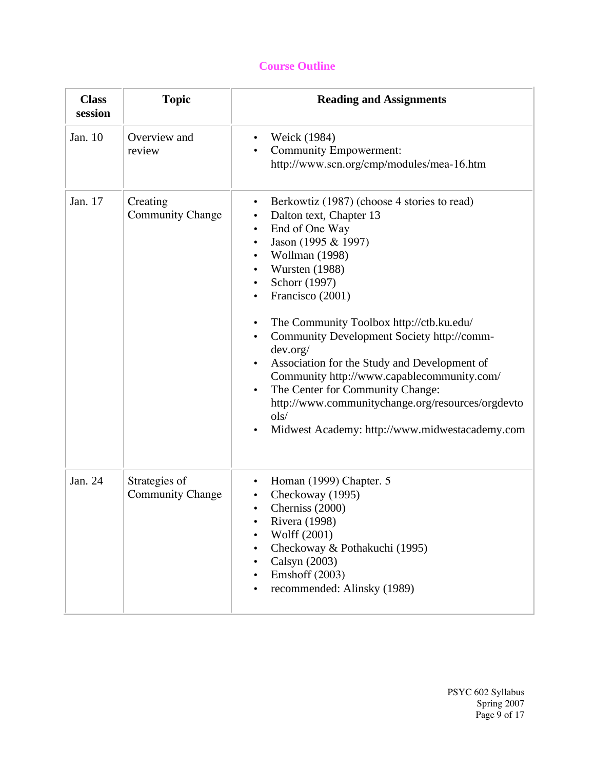### **Course Outline**

| <b>Class</b><br>session | <b>Topic</b>                             | <b>Reading and Assignments</b>                                                                                                                                                                                                                                                                                                                                                                                                                                                                                                                                                                                                                                                                                           |
|-------------------------|------------------------------------------|--------------------------------------------------------------------------------------------------------------------------------------------------------------------------------------------------------------------------------------------------------------------------------------------------------------------------------------------------------------------------------------------------------------------------------------------------------------------------------------------------------------------------------------------------------------------------------------------------------------------------------------------------------------------------------------------------------------------------|
| Jan. 10                 | Overview and<br>review                   | Weick (1984)<br>$\bullet$<br><b>Community Empowerment:</b><br>$\bullet$<br>http://www.scn.org/cmp/modules/mea-16.htm                                                                                                                                                                                                                                                                                                                                                                                                                                                                                                                                                                                                     |
| Jan. 17                 | Creating<br><b>Community Change</b>      | Berkowtiz (1987) (choose 4 stories to read)<br>$\bullet$<br>Dalton text, Chapter 13<br>$\bullet$<br>End of One Way<br>$\bullet$<br>Jason (1995 & 1997)<br>$\bullet$<br>Wollman (1998)<br>$\bullet$<br>Wursten (1988)<br>$\bullet$<br>Schorr (1997)<br>$\bullet$<br>Francisco (2001)<br>$\bullet$<br>The Community Toolbox http://ctb.ku.edu/<br>$\bullet$<br>Community Development Society http://comm-<br>$\bullet$<br>dev.org/<br>Association for the Study and Development of<br>$\bullet$<br>Community http://www.capablecommunity.com/<br>The Center for Community Change:<br>$\bullet$<br>http://www.communitychange.org/resources/orgdevto<br>ols/<br>Midwest Academy: http://www.midwestacademy.com<br>$\bullet$ |
| Jan. 24                 | Strategies of<br><b>Community Change</b> | Homan (1999) Chapter. 5<br>$\bullet$<br>Checkoway (1995)<br>$\bullet$<br>Cherniss (2000)<br>Rivera (1998)<br>Wolff (2001)<br>$\bullet$<br>Checkoway & Pothakuchi (1995)<br>Calsyn (2003)<br>$\bullet$<br>Emshoff (2003)<br>recommended: Alinsky (1989)<br>$\bullet$                                                                                                                                                                                                                                                                                                                                                                                                                                                      |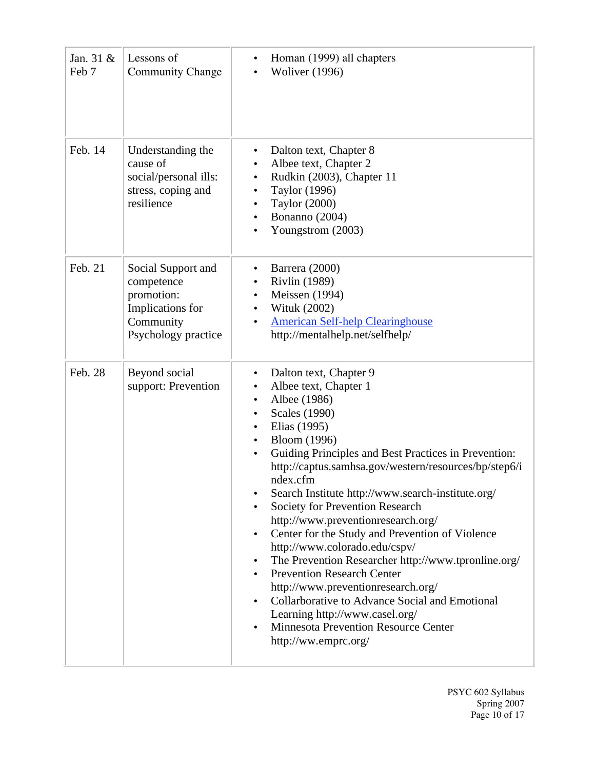| Jan. $31 &$<br>Feb 7 | Lessons of<br><b>Community Change</b>                                                                  | Homan (1999) all chapters<br>٠<br><b>Woliver</b> (1996)<br>$\bullet$                                                                                                                                                                                                                                                                                                                                                                                                                                                                                                                                                                                                                                                                                                                                                                                                                                 |
|----------------------|--------------------------------------------------------------------------------------------------------|------------------------------------------------------------------------------------------------------------------------------------------------------------------------------------------------------------------------------------------------------------------------------------------------------------------------------------------------------------------------------------------------------------------------------------------------------------------------------------------------------------------------------------------------------------------------------------------------------------------------------------------------------------------------------------------------------------------------------------------------------------------------------------------------------------------------------------------------------------------------------------------------------|
| Feb. 14              | Understanding the<br>cause of<br>social/personal ills:<br>stress, coping and<br>resilience             | Dalton text, Chapter 8<br>٠<br>Albee text, Chapter 2<br>$\bullet$<br>Rudkin (2003), Chapter 11<br>$\bullet$<br>Taylor (1996)<br>Taylor (2000)<br>$\bullet$<br>Bonanno (2004)<br>$\bullet$<br>Youngstrom (2003)<br>$\bullet$                                                                                                                                                                                                                                                                                                                                                                                                                                                                                                                                                                                                                                                                          |
| Feb. 21              | Social Support and<br>competence<br>promotion:<br>Implications for<br>Community<br>Psychology practice | Barrera (2000)<br>٠<br><b>Rivlin</b> (1989)<br>$\bullet$<br>Meissen (1994)<br>$\bullet$<br>Wituk (2002)<br><b>American Self-help Clearinghouse</b><br>$\bullet$<br>http://mentalhelp.net/selfhelp/                                                                                                                                                                                                                                                                                                                                                                                                                                                                                                                                                                                                                                                                                                   |
| Feb. 28              | Beyond social<br>support: Prevention                                                                   | Dalton text, Chapter 9<br>٠<br>Albee text, Chapter 1<br>$\bullet$<br>Albee (1986)<br>$\bullet$<br><b>Scales</b> (1990)<br>Elias (1995)<br>$\bullet$<br><b>Bloom</b> (1996)<br>$\bullet$<br>Guiding Principles and Best Practices in Prevention:<br>$\bullet$<br>http://captus.samhsa.gov/western/resources/bp/step6/i<br>ndex.cfm<br>Search Institute http://www.search-institute.org/<br>Society for Prevention Research<br>http://www.preventionresearch.org/<br>Center for the Study and Prevention of Violence<br>$\bullet$<br>http://www.colorado.edu/cspv/<br>The Prevention Researcher http://www.tpronline.org/<br>$\bullet$<br><b>Prevention Research Center</b><br>http://www.preventionresearch.org/<br>Collarborative to Advance Social and Emotional<br>$\bullet$<br>Learning http://www.casel.org/<br><b>Minnesota Prevention Resource Center</b><br>$\bullet$<br>http://ww.emprc.org/ |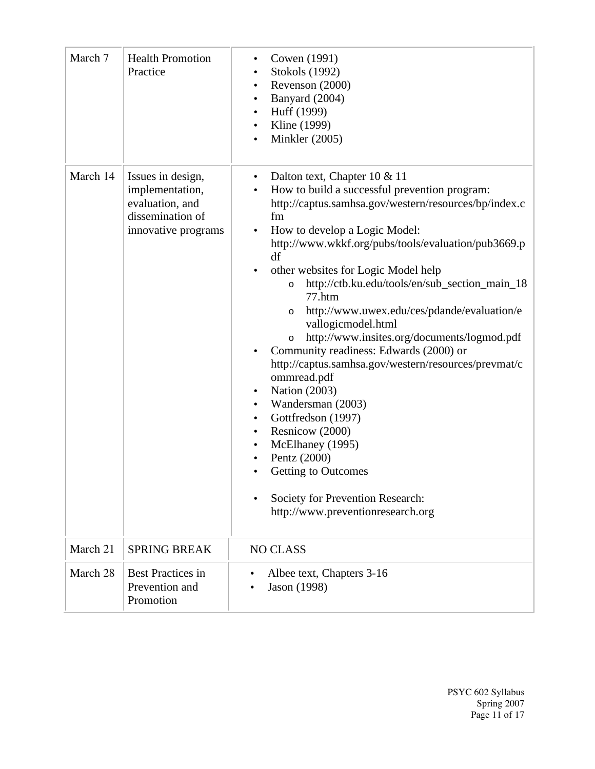| March 7  | <b>Health Promotion</b><br>Practice                                                                | Cowen (1991)<br>$\bullet$<br>Stokols (1992)<br>٠<br>Revenson (2000)<br>$\bullet$<br>Banyard (2004)<br>Huff (1999)<br>$\bullet$<br>Kline (1999)<br>$\bullet$<br>Minkler (2005)<br>$\bullet$                                                                                                                                                                                                                                                                                                                                                                                                                                                                                                                                                                                                                                                                                                                                                                                |
|----------|----------------------------------------------------------------------------------------------------|---------------------------------------------------------------------------------------------------------------------------------------------------------------------------------------------------------------------------------------------------------------------------------------------------------------------------------------------------------------------------------------------------------------------------------------------------------------------------------------------------------------------------------------------------------------------------------------------------------------------------------------------------------------------------------------------------------------------------------------------------------------------------------------------------------------------------------------------------------------------------------------------------------------------------------------------------------------------------|
| March 14 | Issues in design,<br>implementation,<br>evaluation, and<br>dissemination of<br>innovative programs | Dalton text, Chapter 10 & 11<br>$\bullet$<br>How to build a successful prevention program:<br>$\bullet$<br>http://captus.samhsa.gov/western/resources/bp/index.c<br>fm<br>How to develop a Logic Model:<br>$\bullet$<br>http://www.wkkf.org/pubs/tools/evaluation/pub3669.p<br>df<br>other websites for Logic Model help<br>$\bullet$<br>http://ctb.ku.edu/tools/en/sub_section_main_18<br>$\circ$<br>77.htm<br>http://www.uwex.edu/ces/pdande/evaluation/e<br>$\circ$<br>vallogicmodel.html<br>http://www.insites.org/documents/logmod.pdf<br>$\circ$<br>Community readiness: Edwards (2000) or<br>http://captus.samhsa.gov/western/resources/prevmat/c<br>ommread.pdf<br><b>Nation (2003)</b><br>Wandersman (2003)<br>$\bullet$<br>Gottfredson (1997)<br>$\bullet$<br>Resnicow (2000)<br>$\bullet$<br>McElhaney (1995)<br>$\bullet$<br>Pentz (2000)<br><b>Getting to Outcomes</b><br>Society for Prevention Research:<br>$\bullet$<br>http://www.preventionresearch.org |
| March 21 | <b>SPRING BREAK</b>                                                                                | <b>NO CLASS</b>                                                                                                                                                                                                                                                                                                                                                                                                                                                                                                                                                                                                                                                                                                                                                                                                                                                                                                                                                           |
| March 28 | <b>Best Practices in</b><br>Prevention and<br>Promotion                                            | Albee text, Chapters 3-16<br>Jason (1998)                                                                                                                                                                                                                                                                                                                                                                                                                                                                                                                                                                                                                                                                                                                                                                                                                                                                                                                                 |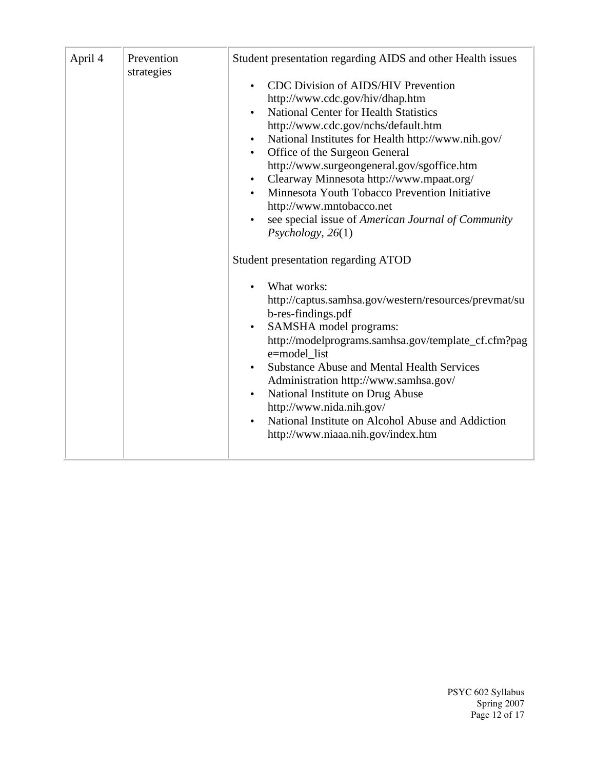| April 4 | Prevention<br>strategies | Student presentation regarding AIDS and other Health issues                                                                                                                                                                                                                                                                                                                                                                                                                                                                                                                                                     |
|---------|--------------------------|-----------------------------------------------------------------------------------------------------------------------------------------------------------------------------------------------------------------------------------------------------------------------------------------------------------------------------------------------------------------------------------------------------------------------------------------------------------------------------------------------------------------------------------------------------------------------------------------------------------------|
|         |                          | <b>CDC</b> Division of AIDS/HIV Prevention<br>$\bullet$<br>http://www.cdc.gov/hiv/dhap.htm<br><b>National Center for Health Statistics</b><br>http://www.cdc.gov/nchs/default.htm<br>National Institutes for Health http://www.nih.gov/<br>$\bullet$<br>Office of the Surgeon General<br>$\bullet$<br>http://www.surgeongeneral.gov/sgoffice.htm<br>Clearway Minnesota http://www.mpaat.org/<br>$\bullet$<br>Minnesota Youth Tobacco Prevention Initiative<br>http://www.mntobacco.net<br>see special issue of American Journal of Community<br>Psychology, 26(1)<br><b>Student presentation regarding ATOD</b> |
|         |                          | What works:<br>http://captus.samhsa.gov/western/resources/prevmat/su<br>b-res-findings.pdf<br>SAMSHA model programs:<br>$\bullet$<br>http://modelprograms.samhsa.gov/template_cf.cfm?pag<br>e=model list<br><b>Substance Abuse and Mental Health Services</b><br>$\bullet$<br>Administration http://www.samhsa.gov/<br>National Institute on Drug Abuse<br>http://www.nida.nih.gov/<br>National Institute on Alcohol Abuse and Addiction<br>http://www.niaaa.nih.gov/index.htm                                                                                                                                  |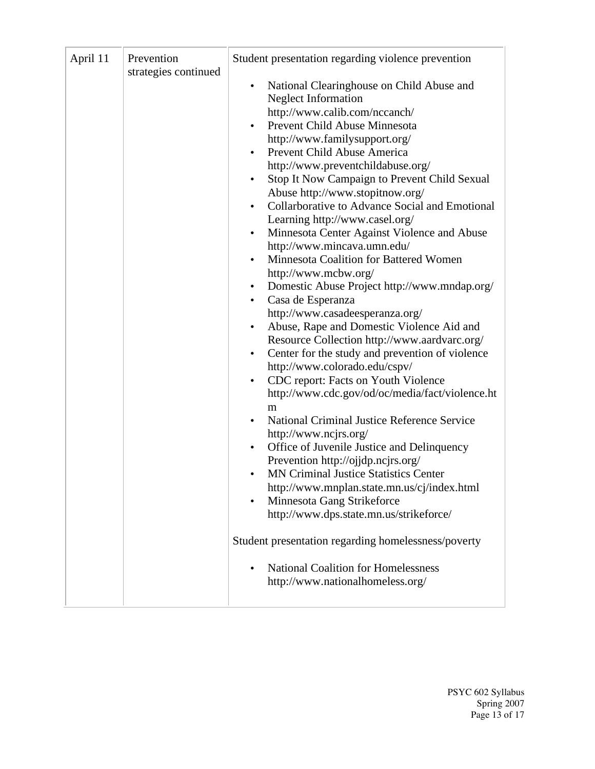| April 11<br>Prevention<br>strategies continued | Student presentation regarding violence prevention<br>National Clearinghouse on Child Abuse and<br>$\bullet$<br><b>Neglect Information</b><br>http://www.calib.com/nccanch/<br>Prevent Child Abuse Minnesota<br>http://www.familysupport.org/<br>Prevent Child Abuse America<br>http://www.preventchildabuse.org/<br>Stop It Now Campaign to Prevent Child Sexual<br>Abuse http://www.stopitnow.org/<br>Collarborative to Advance Social and Emotional<br>$\bullet$<br>Learning http://www.casel.org/<br>Minnesota Center Against Violence and Abuse<br>http://www.mincava.umn.edu/<br>Minnesota Coalition for Battered Women<br>http://www.mcbw.org/<br>Domestic Abuse Project http://www.mndap.org/<br>$\bullet$<br>Casa de Esperanza<br>http://www.casadeesperanza.org/<br>Abuse, Rape and Domestic Violence Aid and<br>$\bullet$<br>Resource Collection http://www.aardvarc.org/<br>Center for the study and prevention of violence<br>$\bullet$<br>http://www.colorado.edu/cspv/<br>CDC report: Facts on Youth Violence<br>$\bullet$<br>http://www.cdc.gov/od/oc/media/fact/violence.ht<br>m<br>National Criminal Justice Reference Service<br>http://www.ncjrs.org/<br>Office of Juvenile Justice and Delinquency<br>Prevention http://ojjdp.ncjrs.org/<br><b>MN Criminal Justice Statistics Center</b><br>http://www.mnplan.state.mn.us/cj/index.html<br>Minnesota Gang Strikeforce<br>http://www.dps.state.mn.us/strikeforce/<br>Student presentation regarding homelessness/poverty<br><b>National Coalition for Homelessness</b><br>http://www.nationalhomeless.org/ |
|------------------------------------------------|--------------------------------------------------------------------------------------------------------------------------------------------------------------------------------------------------------------------------------------------------------------------------------------------------------------------------------------------------------------------------------------------------------------------------------------------------------------------------------------------------------------------------------------------------------------------------------------------------------------------------------------------------------------------------------------------------------------------------------------------------------------------------------------------------------------------------------------------------------------------------------------------------------------------------------------------------------------------------------------------------------------------------------------------------------------------------------------------------------------------------------------------------------------------------------------------------------------------------------------------------------------------------------------------------------------------------------------------------------------------------------------------------------------------------------------------------------------------------------------------------------------------------------------------------------------------------------|
|------------------------------------------------|--------------------------------------------------------------------------------------------------------------------------------------------------------------------------------------------------------------------------------------------------------------------------------------------------------------------------------------------------------------------------------------------------------------------------------------------------------------------------------------------------------------------------------------------------------------------------------------------------------------------------------------------------------------------------------------------------------------------------------------------------------------------------------------------------------------------------------------------------------------------------------------------------------------------------------------------------------------------------------------------------------------------------------------------------------------------------------------------------------------------------------------------------------------------------------------------------------------------------------------------------------------------------------------------------------------------------------------------------------------------------------------------------------------------------------------------------------------------------------------------------------------------------------------------------------------------------------|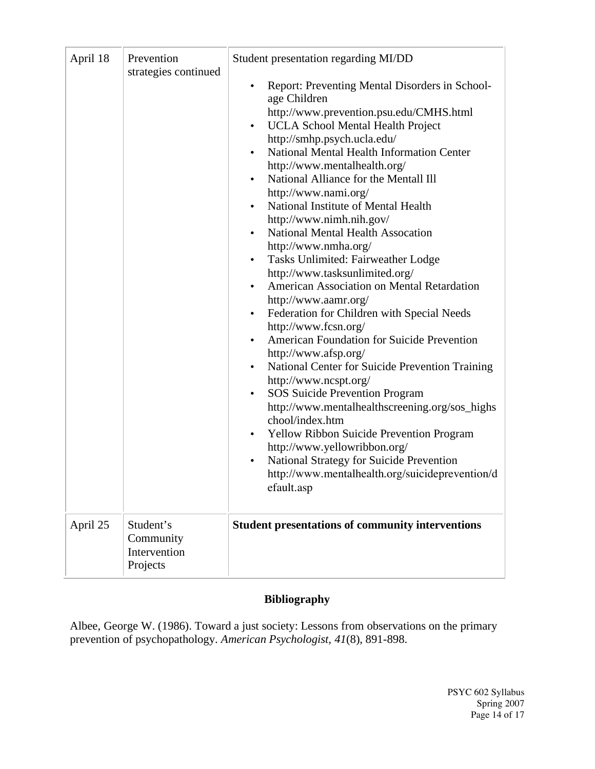| April 18 | Prevention<br>strategies continued                 | Student presentation regarding MI/DD<br>Report: Preventing Mental Disorders in School-<br>age Children<br>http://www.prevention.psu.edu/CMHS.html<br><b>UCLA School Mental Health Project</b><br>$\bullet$<br>http://smhp.psych.ucla.edu/<br>National Mental Health Information Center<br>$\bullet$<br>http://www.mentalhealth.org/<br>National Alliance for the Mentall Ill<br>http://www.nami.org/<br>National Institute of Mental Health<br>٠<br>http://www.nimh.nih.gov/<br><b>National Mental Health Assocation</b><br>http://www.nmha.org/<br>Tasks Unlimited: Fairweather Lodge<br>٠<br>http://www.tasksunlimited.org/<br>American Association on Mental Retardation<br>http://www.aamr.org/<br>Federation for Children with Special Needs<br>٠<br>http://www.fcsn.org/<br>American Foundation for Suicide Prevention<br>٠<br>http://www.afsp.org/<br>National Center for Suicide Prevention Training<br>http://www.ncspt.org/<br>SOS Suicide Prevention Program<br>٠<br>http://www.mentalhealthscreening.org/sos_highs<br>chool/index.htm<br><b>Yellow Ribbon Suicide Prevention Program</b><br>٠<br>http://www.yellowribbon.org/<br>National Strategy for Suicide Prevention<br>http://www.mentalhealth.org/suicideprevention/d<br>efault.asp |
|----------|----------------------------------------------------|--------------------------------------------------------------------------------------------------------------------------------------------------------------------------------------------------------------------------------------------------------------------------------------------------------------------------------------------------------------------------------------------------------------------------------------------------------------------------------------------------------------------------------------------------------------------------------------------------------------------------------------------------------------------------------------------------------------------------------------------------------------------------------------------------------------------------------------------------------------------------------------------------------------------------------------------------------------------------------------------------------------------------------------------------------------------------------------------------------------------------------------------------------------------------------------------------------------------------------------------------------|
| April 25 | Student's<br>Community<br>Intervention<br>Projects | <b>Student presentations of community interventions</b>                                                                                                                                                                                                                                                                                                                                                                                                                                                                                                                                                                                                                                                                                                                                                                                                                                                                                                                                                                                                                                                                                                                                                                                                |

### **Bibliography**

Albee, George W. (1986). Toward a just society: Lessons from observations on the primary prevention of psychopathology. *American Psychologist, 41*(8), 891-898.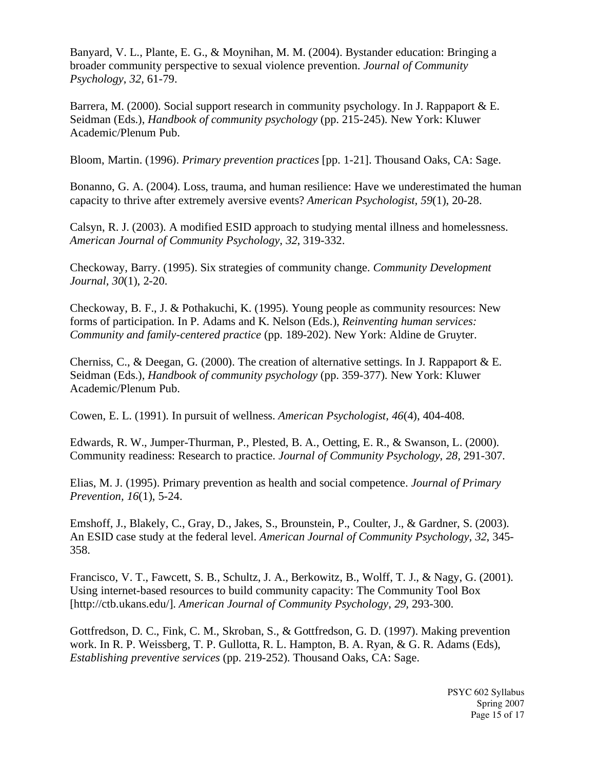Banyard, V. L., Plante, E. G., & Moynihan, M. M. (2004). Bystander education: Bringing a broader community perspective to sexual violence prevention. *Journal of Community Psychology*, *32,* 61-79.

Barrera, M. (2000). Social support research in community psychology. In J. Rappaport & E. Seidman (Eds.), *Handbook of community psychology* (pp. 215-245). New York: Kluwer Academic/Plenum Pub.

Bloom, Martin. (1996). *Primary prevention practices* [pp. 1-21]. Thousand Oaks, CA: Sage.

Bonanno, G. A. (2004). Loss, trauma, and human resilience: Have we underestimated the human capacity to thrive after extremely aversive events? *American Psychologist, 59*(1), 20-28.

Calsyn, R. J. (2003). A modified ESID approach to studying mental illness and homelessness. *American Journal of Community Psychology*, *32*, 319-332.

Checkoway, Barry. (1995). Six strategies of community change. *Community Development Journal, 30*(1), 2-20.

Checkoway, B. F., J. & Pothakuchi, K. (1995). Young people as community resources: New forms of participation. In P. Adams and K. Nelson (Eds.), *Reinventing human services: Community and family-centered practice* (pp. 189-202). New York: Aldine de Gruyter.

Cherniss, C., & Deegan, G. (2000). The creation of alternative settings. In J. Rappaport & E. Seidman (Eds.), *Handbook of community psychology* (pp. 359-377). New York: Kluwer Academic/Plenum Pub.

Cowen, E. L. (1991). In pursuit of wellness. *American Psychologist, 46*(4), 404-408.

Edwards, R. W., Jumper-Thurman, P., Plested, B. A., Oetting, E. R., & Swanson, L. (2000). Community readiness: Research to practice. *Journal of Community Psychology*, *28,* 291-307.

Elias, M. J. (1995). Primary prevention as health and social competence. *Journal of Primary Prevention, 16*(1), 5-24.

Emshoff, J., Blakely, C., Gray, D., Jakes, S., Brounstein, P., Coulter, J., & Gardner, S. (2003). An ESID case study at the federal level. *American Journal of Community Psychology*, *32*, 345- 358.

Francisco, V. T., Fawcett, S. B., Schultz, J. A., Berkowitz, B., Wolff, T. J., & Nagy, G. (2001). Using internet-based resources to build community capacity: The Community Tool Box [http://ctb.ukans.edu/]. *American Journal of Community Psychology*, *29,* 293-300.

Gottfredson, D. C., Fink, C. M., Skroban, S., & Gottfredson, G. D. (1997). Making prevention work. In R. P. Weissberg, T. P. Gullotta, R. L. Hampton, B. A. Ryan, & G. R. Adams (Eds), *Establishing preventive services* (pp. 219-252). Thousand Oaks, CA: Sage.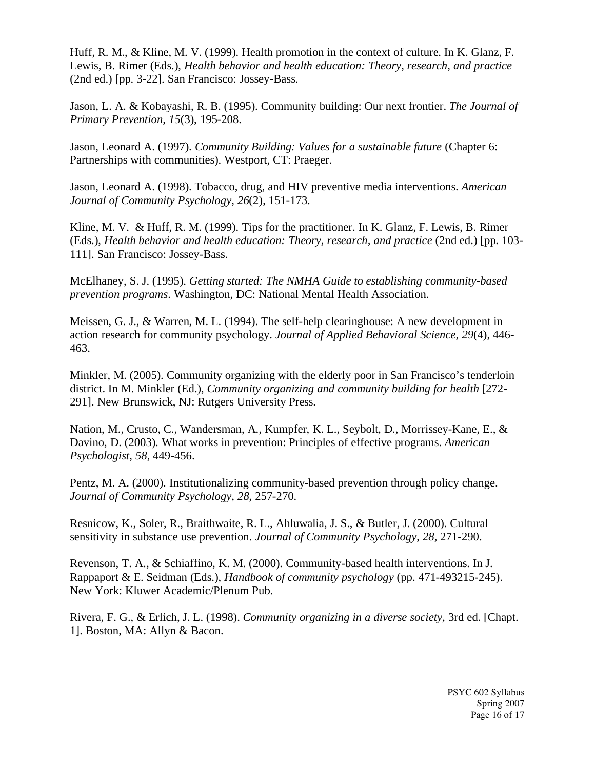Huff, R. M., & Kline, M. V. (1999). Health promotion in the context of culture. In K. Glanz, F. Lewis, B. Rimer (Eds.), *Health behavior and health education: Theory, research, and practice* (2nd ed.) [pp. 3-22]. San Francisco: Jossey-Bass.

Jason, L. A. & Kobayashi, R. B. (1995). Community building: Our next frontier. *The Journal of Primary Prevention, 15*(3), 195-208.

Jason, Leonard A. (1997). *Community Building: Values for a sustainable future* (Chapter 6: Partnerships with communities). Westport, CT: Praeger.

Jason, Leonard A. (1998). Tobacco, drug, and HIV preventive media interventions. *American Journal of Community Psychology, 26*(2), 151-173.

Kline, M. V. & Huff, R. M. (1999). Tips for the practitioner. In K. Glanz, F. Lewis, B. Rimer (Eds.), *Health behavior and health education: Theory, research, and practice* (2nd ed.) [pp. 103- 111]. San Francisco: Jossey-Bass.

McElhaney, S. J. (1995). *Getting started: The NMHA Guide to establishing community-based prevention programs*. Washington, DC: National Mental Health Association.

Meissen, G. J., & Warren, M. L. (1994). The self-help clearinghouse: A new development in action research for community psychology. *Journal of Applied Behavioral Science, 29*(4), 446- 463.

Minkler, M. (2005). Community organizing with the elderly poor in San Francisco's tenderloin district. In M. Minkler (Ed.), *Community organizing and community building for health* [272- 291]. New Brunswick, NJ: Rutgers University Press.

Nation, M., Crusto, C., Wandersman, A., Kumpfer, K. L., Seybolt, D., Morrissey-Kane, E., & Davino, D. (2003). What works in prevention: Principles of effective programs. *American Psychologist, 58*, 449-456.

Pentz, M. A. (2000). Institutionalizing community-based prevention through policy change. *Journal of Community Psychology*, *28,* 257-270.

Resnicow, K., Soler, R., Braithwaite, R. L., Ahluwalia, J. S., & Butler, J. (2000). Cultural sensitivity in substance use prevention. *Journal of Community Psychology*, *28,* 271-290.

Revenson, T. A., & Schiaffino, K. M. (2000). Community-based health interventions. In J. Rappaport & E. Seidman (Eds.), *Handbook of community psychology* (pp. 471-493215-245). New York: Kluwer Academic/Plenum Pub.

Rivera, F. G., & Erlich, J. L. (1998). *Community organizing in a diverse society,* 3rd ed. [Chapt. 1]. Boston, MA: Allyn & Bacon.